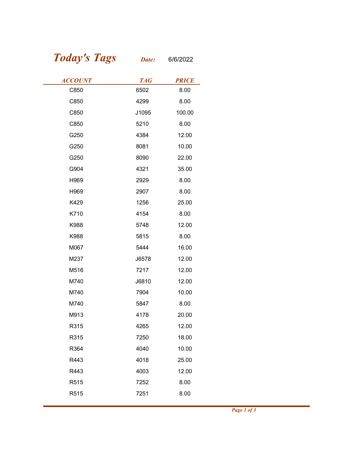## Today's Tags Date: 6/6/2022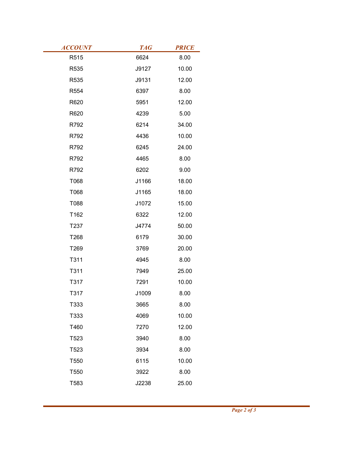| <b>ACCOUNT</b> | <b>TAG</b>    | <b>PRICE</b>  |
|----------------|---------------|---------------|
| R515           | 6624          | 8.00          |
| R535           | J9127         | 10.00         |
| R535<br>R554   | J9131<br>6397 | 12.00<br>8.00 |
| R620           | 5951          | 12.00         |
| R620           | 4239          | 5.00          |
| R792           | 6214          | 34.00         |
| R792           | 4436          | 10.00         |
| R792           | 6245          | 24.00         |
| R792           | 4465          | 8.00          |
| R792           | 6202          | 9.00          |
| T068           | J1166         | 18.00         |
| T068           | J1165         | 18.00         |
| T088           | J1072         | 15.00         |
| T162           | 6322          | 12.00         |
| T237           | J4774         | 50.00         |
| T268           | 6179          | 30.00         |
| T269           | 3769          | 20.00         |
| T311           | 4945          | 8.00          |
| T311           | 7949          | 25.00         |
| T317           | 7291          | 10.00         |
| T317           | J1009         | 8.00          |
| T333           | 3665          | 8.00          |
| T333           | 4069          | 10.00         |
| T460           | 7270          | 12.00         |
| T523           | 3940          | 8.00          |
| T523           | 3934          | 8.00          |
| T550           | 6115          | 10.00         |
| T550           | 3922          | 8.00          |
| T583           | J2238         | 25.00         |